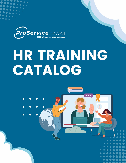

## HR TRAINING CATALOG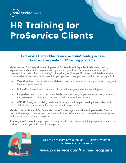

### **HR Training for ProService Clients**

#### **ProService Hawaii Clients receive** *complimentary* **access to an amazing suite of HR training programs.**

**We've created four deep-dive learning tracks for People and Organization leaders.** Led by experienced and certified trainers, the insights you'll gain from these interactive, live virtual classes will provide solutions to today's HR challenges. Plus, you'll connect with leaders across our extensive network of clients. Now it's up to you to choose your own path to becoming a *Pro*!

- **TalentPro:** Learn how to attract and develop top performers with best practices throughout the employee life cycle.
- **CulturePro:** Learn how to create a culture that engages and retains employees.
- **PeoplePro:** Learn how to become a leader who inspires your people, advances your team, and leverages those around you, one crucial conversation at a time.
- **ASPIRE:** Designed for rising leaders, this program will help to develop the mindset and skills to be successful in their first leadership experience.

**We also offer a library of On-Demand courses for managers and all employee levels.** Choose from a wide range of courses on compliance, diversity & inclusion, and professional development that you can watch at your own pace.

**As always, we're here to help.** If you have any questions about our training programs, let us know and we'll connect you with one of our experts.



Talk to us to learn how a robust HR Training Program can benefit your business.

**[www.proservice.com/trainingprograms](http://www.proservice.com/trainingprograms)**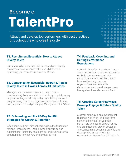### Become a **TalentPro**

Attract and develop top performers with best practices throughout the employee life cycle.

#### **T1. Recruitment Essentials: How to Attract Quality Talent**

Learn how to build an ideal Job Scorecard and identify characteristics of your perfect job candidate while optimizing your recruitment process. *60 min.* 

#### **T2. Compensation Essentials: Recruit & Retain Quality Talent in Hawaii Across All Industries**

Managers and business owners will learn how to benchmark a job class and determine its appropriate salary range according to industry and geographic region. Walk away knowing how to leverage salary data to create your own pay structure and philosophy. *Prerequisite T1 | 60 min.* 

#### **T3. Onboarding and the 90-Day ToolKit: Strategies for Growth & Retention**

When done well, new hire onboarding lays the foundation for long-term success. Learn how to clarify roles and expectations, foster key relationships, and outline growth opportunities for your new employees. *60 min.* 

#### **T4. Feedback, Coaching, and Setting Performance Expectations**

 $\bullet\hspace{0.1cm} \bullet\hspace{0.1cm} \bullet\hspace{0.1cm} \bullet\hspace{0.1cm} \bullet\hspace{0.1cm} \bullet\hspace{0.1cm} \bullet\hspace{0.1cm} \bullet$  $\bullet\bullet\bullet\bullet\bullet\bullet$ . . . **. . . .**  $\bullet$   $\bullet$   $\bullet$   $\bullet$  $\bullet$   $\bullet$   $\bullet$   $\bullet$ 

Build a high-performing culture in your team, department, or organization early on. Help your team expand their capabilities through coaching. Learn how to effectively measure organizational success, with deliverables, and to evaluate your new [h](https://www.eventbrite.com/e/310129625057)ire against these elements. *60 min.* 

#### **T5. Creating Career Pathways: Develop, Engage, & Retain Quality Talent**

A career pathway is an advancement roadmap with short- and long-term benchmarks that align your top performers with team, departmental, and organizational growth strategies through learning, coaching, professional development and promotional opportunities. *Prerequisite T2 | 60 min.*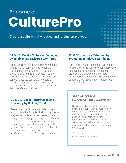### **Become a CulturePro**

Create a culture that engages and retains employees.

#### **C1 & C2.****Build a Culture of Belonging by Establishing a Diverse Workforce**

Explore the benefits of an inclusive workplace and gain practical strategies to transform your organizational culture that attracts, engages, and retains employees.. Review common barriers to inclusion and how you can demonstrate behaviors to create a respectful workplace that empowers and shapes the employee and team experience. *2-Part Workshop | 60 min.* 

#### **C3 & C4.****Boost Performance and Efficiency by Building Trust**

Review the role of the leader in building trust and communicating effectively through each stage of team development resulting in an engaged, and high-performing team. Discuss how to set teams up for success from the beginning, empower them to accomplish goals, and coach them through the obstacles that may arise along the way. *2-Part Workshop | Prerequisites C1 & C2 | 60 min.* 

#### **C5 & C6.****Improve Retention by Promoting Employee Well-being**

 $\bullet$   $\bullet$ 

 $\bullet$ 

Build teams that are engaged, resilient and flexible as they navigate through challenges and overcome obstacles. Learn best practices and strategies to promote emotional wellbeing for individual and team success. *2-Part Workshop | Prerequisites C1-C4 | 60 min.*

#### **SPECIAL COURSE: Everything DiSC® Workplace\***

Gain personalized insights for each member of your team that deepen their understanding of themselves and others, making workplace interactions more enjoyable and effective. Build the foundation for a more engaged and collaborative workforce that can spark meaningful culture improvement in your organization.

*\*This session has costs associated – please contact us for pricing.*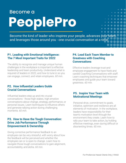#### Become a

# **PeoplePro**

Become the kind of leader who inspires your people, advances your team, and leverages those around you - one crucial conversation at a time.

#### **P1. Leading with Emotional Intelligence: The 7 Most Important Traits for 2022**

The ability to recognize and manage unique human challenges in the workplace is important to effective leadership and team productivity. Understand what is required of leaders in 2022, and how to tune in so you can engage, connect, and retain employees. *60 min.* 

#### **P2. How Influential Leaders Guide Crucial Conversations**

Influential leaders step up and into crucial conversations - those high stakes, high emotion conversations about change, strategy, performance, or personal issues. Learn techniques to influence others and generate rallying action during challenging moments. *60 min.*

#### **P3. How to Have the Tough Conversation: Drive Job Performance Through Empowerment & Ownership**

Giving corrective performance feedback to an employee can be very stressful, with worry about how the feedback will be perceived and whether the employee can or is open to change. Learn how to navigate those tough conversations to gain alignment, accountability, and aloha. *60 min.* 

#### **P4. Lead Each Team Member to Greatness with Coaching Conversations**

Effective leaders leverage trust and employee engagement to have frank and candid Coaching Conversations with staff. Learn coaching techniques that empower employees and guide your team toward greatness. *60 min.*

#### **P5. Inspire Your Team with Motivational Meetings**

Personal drive, commitment to goals, initiative, optimism and resilience are all elements of motivation. In the workplace, leaders have responsibility for their team's motivation level through the environment they create. Learn how to rally your team to take action, by holding effective meetings, even during difficult or disorienting times. *60 min.*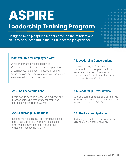### **ASPIRE Leadership Training Program**

Designed to help aspiring leaders develop the mindset and skills to be successful in their first leadership experience.

## $\bullet$   $\bullet$   $\bullet$   $\bullet$  $\bullet\bullet\bullet\bullet\bullet$  $\bullet$

#### **Most valuable for employees with:**

- ✓ No prior management experience
- ✓ Desire to excel in a future leadership position
- ✓ Willingness to engage in discussion during

group sessions and complete practical application exercises following each session

#### **A3. Leadership Conversations**

Discover strategies for critical conversations to navigate conflict and foster team success. Gain tools to conduct meaningful 1:1s and address disciplinary issues.*90 min.*

#### **A1. The Leadership Lens**

Learn how to develop a leadership mindset and practice balancing organizational, team and individual responsibilities.*90 min.*

#### **A2. Leadership Foundations**

Explore the most crucial skills for transitioning into a leadership role - including goal-setting, time management, decision-making, and emotional management.*90 min.* 

#### **A4. Leadership & Workstyles**

Develop a deeper understanding of employee workstyles and learn how to flex your style to support team success.*90 min.*

#### **A5. The Leadership Game**

Review key leadership practices and apply skills to real world scenarios.*90 min.*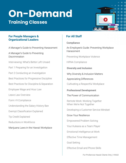### **On-Demand Training Classes**



#### **People Managers & The mindset and mindset and mindset and mindset and mindset and mindset and mindset and minds Organizational Leaders Experience in the successful in the successful in the successful in the successful in the successful in the successful in the successful in the successful in the successful in the successful in th**

A Manager's Guide to Preventing Harassment

A Manager's Guide to Preventing **Discrimination** 

Interviewing: What's Better Left Unsaid

Part 1 Preparing for an Investigation

Part 2 Conducting an Investigation

Best Practices for Progressive Discipline

Best Practices for Discipline & Separation

Employee Wage and Hour Law

Leave Law Overview

Form I-9 Compliance

Understanding the Salary History Ban

Exempt Classification Explained

Tip Credit Explained

Reductions in Workforce

Marijuana Laws in the Hawaii Workplace

#### **For All Staff**

#### **Compliance**

An Employee's Guide: Preventing Workplace Harassment

Preventing Workplace Violence

HIPAA Compliance

**Diversity and Inclusion**

Why Diversity & Inclusion Matters

Appreciating Differences

Cultivating a Respectful Workplace

**Professional Development**

The Power of Communication

Remote Work: Working Together When We're Not Together

Developing a Customer Service Mindset

Grow Your Resilience

Empowered Problem Solving

Your Kuleana as a Team Player

Emotional Intelligence at Work

Effective Time Management

Goal Setting

Effective Email and Phone Skills